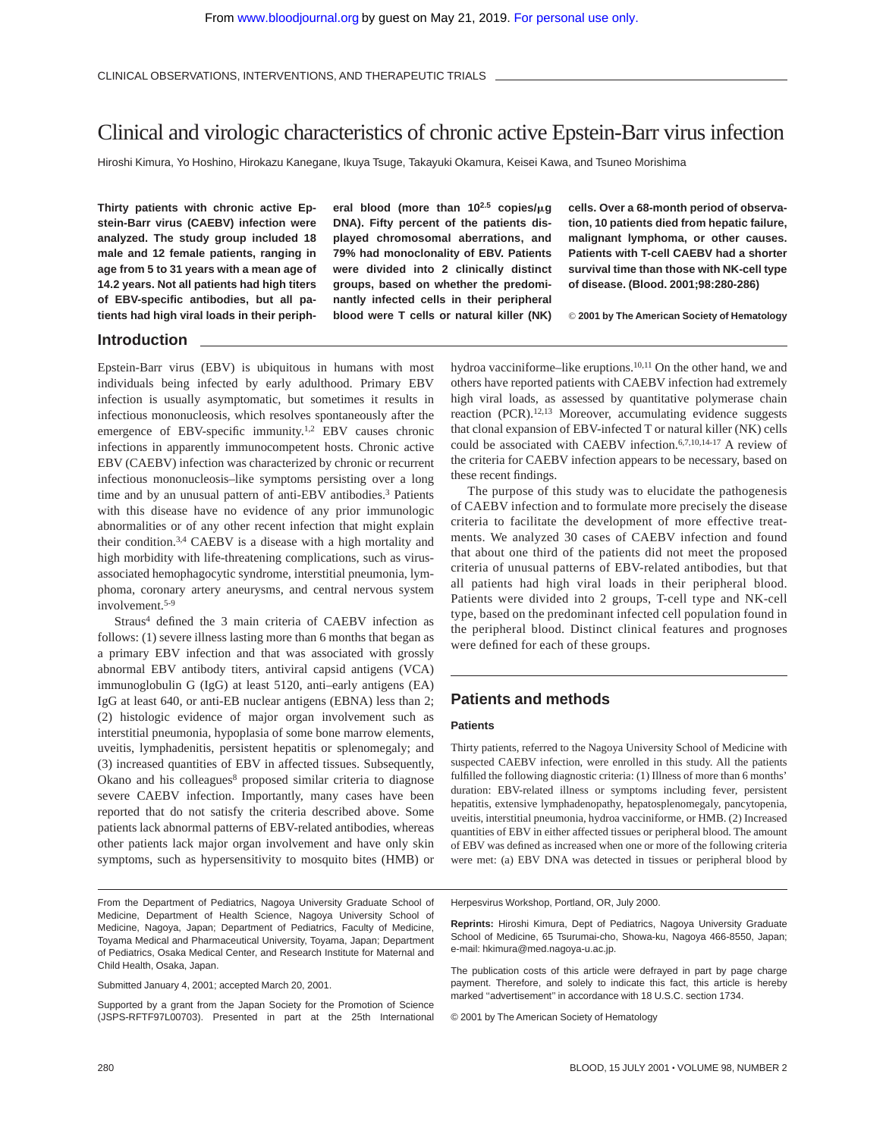# Clinical and virologic characteristics of chronic active Epstein-Barr virus infection

Hiroshi Kimura, Yo Hoshino, Hirokazu Kanegane, Ikuya Tsuge, Takayuki Okamura, Keisei Kawa, and Tsuneo Morishima

**Thirty patients with chronic active Epstein-Barr virus (CAEBV) infection were analyzed. The study group included 18 male and 12 female patients, ranging in age from 5 to 31 years with a mean age of 14.2 years. Not all patients had high titers of EBV-specific antibodies, but all patients had high viral loads in their periph-** eral blood (more than  $10^{2.5}$  copies/ $\mu$ g **DNA). Fifty percent of the patients displayed chromosomal aberrations, and 79% had monoclonality of EBV. Patients were divided into 2 clinically distinct groups, based on whether the predominantly infected cells in their peripheral blood were T cells or natural killer (NK)**

**cells. Over a 68-month period of observation, 10 patients died from hepatic failure, malignant lymphoma, or other causes. Patients with T-cell CAEBV had a shorter survival time than those with NK-cell type of disease. (Blood. 2001;98:280-286)**

© **2001 by The American Society of Hematology**

## **Introduction**

Epstein-Barr virus (EBV) is ubiquitous in humans with most individuals being infected by early adulthood. Primary EBV infection is usually asymptomatic, but sometimes it results in infectious mononucleosis, which resolves spontaneously after the emergence of EBV-specific immunity.<sup>1,2</sup> EBV causes chronic infections in apparently immunocompetent hosts. Chronic active EBV (CAEBV) infection was characterized by chronic or recurrent infectious mononucleosis–like symptoms persisting over a long time and by an unusual pattern of anti-EBV antibodies.3 Patients with this disease have no evidence of any prior immunologic abnormalities or of any other recent infection that might explain their condition.3,4 CAEBV is a disease with a high mortality and high morbidity with life-threatening complications, such as virusassociated hemophagocytic syndrome, interstitial pneumonia, lymphoma, coronary artery aneurysms, and central nervous system involvement.5-9

Straus<sup>4</sup> defined the 3 main criteria of CAEBV infection as follows: (1) severe illness lasting more than 6 months that began as a primary EBV infection and that was associated with grossly abnormal EBV antibody titers, antiviral capsid antigens (VCA) immunoglobulin G (IgG) at least 5120, anti–early antigens (EA) IgG at least 640, or anti-EB nuclear antigens (EBNA) less than 2; (2) histologic evidence of major organ involvement such as interstitial pneumonia, hypoplasia of some bone marrow elements, uveitis, lymphadenitis, persistent hepatitis or splenomegaly; and (3) increased quantities of EBV in affected tissues. Subsequently, Okano and his colleagues<sup>8</sup> proposed similar criteria to diagnose severe CAEBV infection. Importantly, many cases have been reported that do not satisfy the criteria described above. Some patients lack abnormal patterns of EBV-related antibodies, whereas other patients lack major organ involvement and have only skin symptoms, such as hypersensitivity to mosquito bites (HMB) or

From the Department of Pediatrics, Nagoya University Graduate School of Medicine, Department of Health Science, Nagoya University School of Medicine, Nagoya, Japan; Department of Pediatrics, Faculty of Medicine, Toyama Medical and Pharmaceutical University, Toyama, Japan; Department of Pediatrics, Osaka Medical Center, and Research Institute for Maternal and Child Health, Osaka, Japan.

Submitted January 4, 2001; accepted March 20, 2001.

Supported by a grant from the Japan Society for the Promotion of Science (JSPS-RFTF97L00703). Presented in part at the 25th International hydroa vacciniforme–like eruptions.<sup>10,11</sup> On the other hand, we and others have reported patients with CAEBV infection had extremely high viral loads, as assessed by quantitative polymerase chain reaction (PCR).<sup>12,13</sup> Moreover, accumulating evidence suggests that clonal expansion of EBV-infected T or natural killer (NK) cells could be associated with CAEBV infection.6,7,10,14-17 A review of the criteria for CAEBV infection appears to be necessary, based on these recent findings.

The purpose of this study was to elucidate the pathogenesis of CAEBV infection and to formulate more precisely the disease criteria to facilitate the development of more effective treatments. We analyzed 30 cases of CAEBV infection and found that about one third of the patients did not meet the proposed criteria of unusual patterns of EBV-related antibodies, but that all patients had high viral loads in their peripheral blood. Patients were divided into 2 groups, T-cell type and NK-cell type, based on the predominant infected cell population found in the peripheral blood. Distinct clinical features and prognoses were defined for each of these groups.

## **Patients and methods**

### **Patients**

Thirty patients, referred to the Nagoya University School of Medicine with suspected CAEBV infection, were enrolled in this study. All the patients fulfilled the following diagnostic criteria: (1) Illness of more than 6 months' duration: EBV-related illness or symptoms including fever, persistent hepatitis, extensive lymphadenopathy, hepatosplenomegaly, pancytopenia, uveitis, interstitial pneumonia, hydroa vacciniforme, or HMB. (2) Increased quantities of EBV in either affected tissues or peripheral blood. The amount of EBV was defined as increased when one or more of the following criteria were met: (a) EBV DNA was detected in tissues or peripheral blood by

Herpesvirus Workshop, Portland, OR, July 2000.

**Reprints:** Hiroshi Kimura, Dept of Pediatrics, Nagoya University Graduate School of Medicine, 65 Tsurumai-cho, Showa-ku, Nagoya 466-8550, Japan; e-mail: hkimura@med.nagoya-u.ac.jp.

The publication costs of this article were defrayed in part by page charge payment. Therefore, and solely to indicate this fact, this article is hereby marked "advertisement" in accordance with 18 U.S.C. section 1734.

© 2001 by The American Society of Hematology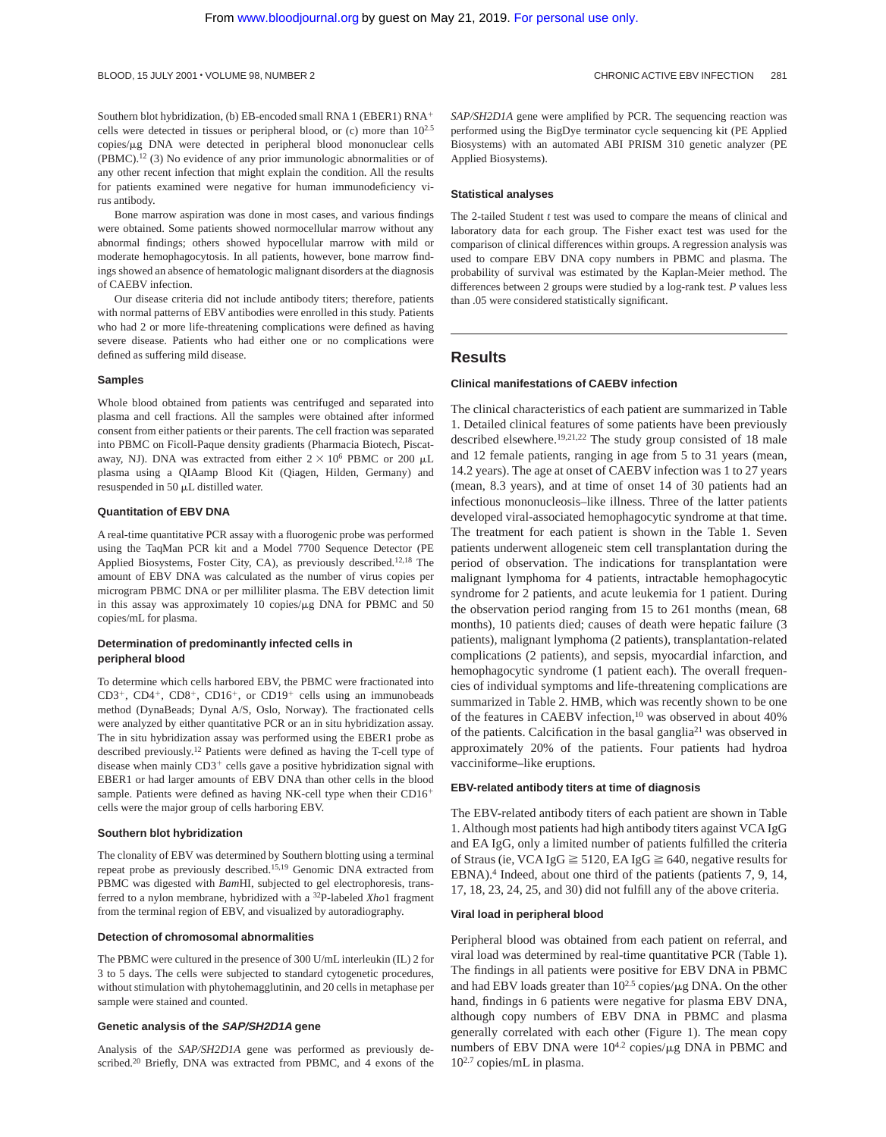Southern blot hybridization, (b) EB-encoded small RNA 1 (EBER1) RNA<sup>+</sup> cells were detected in tissues or peripheral blood, or (c) more than 102.5 copies/µg DNA were detected in peripheral blood mononuclear cells (PBMC).12 (3) No evidence of any prior immunologic abnormalities or of any other recent infection that might explain the condition. All the results for patients examined were negative for human immunodeficiency virus antibody.

Bone marrow aspiration was done in most cases, and various findings were obtained. Some patients showed normocellular marrow without any abnormal findings; others showed hypocellular marrow with mild or moderate hemophagocytosis. In all patients, however, bone marrow findings showed an absence of hematologic malignant disorders at the diagnosis of CAEBV infection.

Our disease criteria did not include antibody titers; therefore, patients with normal patterns of EBV antibodies were enrolled in this study. Patients who had 2 or more life-threatening complications were defined as having severe disease. Patients who had either one or no complications were defined as suffering mild disease.

#### **Samples**

Whole blood obtained from patients was centrifuged and separated into plasma and cell fractions. All the samples were obtained after informed consent from either patients or their parents. The cell fraction was separated into PBMC on Ficoll-Paque density gradients (Pharmacia Biotech, Piscataway, NJ). DNA was extracted from either  $2 \times 10^6$  PBMC or 200  $\mu$ L plasma using a QIAamp Blood Kit (Qiagen, Hilden, Germany) and resuspended in 50 mL distilled water.

## **Quantitation of EBV DNA**

A real-time quantitative PCR assay with a fluorogenic probe was performed using the TaqMan PCR kit and a Model 7700 Sequence Detector (PE Applied Biosystems, Foster City, CA), as previously described.12,18 The amount of EBV DNA was calculated as the number of virus copies per microgram PBMC DNA or per milliliter plasma. The EBV detection limit in this assay was approximately 10 copies/ $\mu$ g DNA for PBMC and 50 copies/mL for plasma.

## **Determination of predominantly infected cells in peripheral blood**

To determine which cells harbored EBV, the PBMC were fractionated into  $CD3^+$ ,  $CD4^+$ ,  $CD8^+$ ,  $CD16^+$ , or  $CD19^+$  cells using an immunobeads method (DynaBeads; Dynal A/S, Oslo, Norway). The fractionated cells were analyzed by either quantitative PCR or an in situ hybridization assay. The in situ hybridization assay was performed using the EBER1 probe as described previously.12 Patients were defined as having the T-cell type of disease when mainly  $CD3^+$  cells gave a positive hybridization signal with EBER1 or had larger amounts of EBV DNA than other cells in the blood sample. Patients were defined as having NK-cell type when their  $CD16<sup>+</sup>$ cells were the major group of cells harboring EBV.

#### **Southern blot hybridization**

The clonality of EBV was determined by Southern blotting using a terminal repeat probe as previously described.15,19 Genomic DNA extracted from PBMC was digested with *Bam*HI, subjected to gel electrophoresis, transferred to a nylon membrane, hybridized with a 32P-labeled *Xho*1 fragment from the terminal region of EBV, and visualized by autoradiography.

#### **Detection of chromosomal abnormalities**

The PBMC were cultured in the presence of 300 U/mL interleukin (IL) 2 for 3 to 5 days. The cells were subjected to standard cytogenetic procedures, without stimulation with phytohemagglutinin, and 20 cells in metaphase per sample were stained and counted.

## **Genetic analysis of the SAP/SH2D1A gene**

Analysis of the *SAP/SH2D1A* gene was performed as previously described.<sup>20</sup> Briefly, DNA was extracted from PBMC, and 4 exons of the *SAP/SH2D1A* gene were amplified by PCR. The sequencing reaction was performed using the BigDye terminator cycle sequencing kit (PE Applied Biosystems) with an automated ABI PRISM 310 genetic analyzer (PE Applied Biosystems).

#### **Statistical analyses**

The 2-tailed Student *t* test was used to compare the means of clinical and laboratory data for each group. The Fisher exact test was used for the comparison of clinical differences within groups. A regression analysis was used to compare EBV DNA copy numbers in PBMC and plasma. The probability of survival was estimated by the Kaplan-Meier method. The differences between 2 groups were studied by a log-rank test. *P* values less than .05 were considered statistically significant.

## **Results**

#### **Clinical manifestations of CAEBV infection**

The clinical characteristics of each patient are summarized in Table 1. Detailed clinical features of some patients have been previously described elsewhere.19,21,22 The study group consisted of 18 male and 12 female patients, ranging in age from 5 to 31 years (mean, 14.2 years). The age at onset of CAEBV infection was 1 to 27 years (mean, 8.3 years), and at time of onset 14 of 30 patients had an infectious mononucleosis–like illness. Three of the latter patients developed viral-associated hemophagocytic syndrome at that time. The treatment for each patient is shown in the Table 1. Seven patients underwent allogeneic stem cell transplantation during the period of observation. The indications for transplantation were malignant lymphoma for 4 patients, intractable hemophagocytic syndrome for 2 patients, and acute leukemia for 1 patient. During the observation period ranging from 15 to 261 months (mean, 68 months), 10 patients died; causes of death were hepatic failure (3 patients), malignant lymphoma (2 patients), transplantation-related complications (2 patients), and sepsis, myocardial infarction, and hemophagocytic syndrome (1 patient each). The overall frequencies of individual symptoms and life-threatening complications are summarized in Table 2. HMB, which was recently shown to be one of the features in CAEBV infection,10 was observed in about 40% of the patients. Calcification in the basal ganglia21 was observed in approximately 20% of the patients. Four patients had hydroa vacciniforme–like eruptions.

#### **EBV-related antibody titers at time of diagnosis**

The EBV-related antibody titers of each patient are shown in Table 1. Although most patients had high antibody titers against VCA IgG and EA IgG, only a limited number of patients fulfilled the criteria of Straus (ie, VCA IgG  $\geq$  5120, EA IgG  $\geq$  640, negative results for EBNA).<sup>4</sup> Indeed, about one third of the patients (patients 7, 9, 14, 17, 18, 23, 24, 25, and 30) did not fulfill any of the above criteria.

#### **Viral load in peripheral blood**

Peripheral blood was obtained from each patient on referral, and viral load was determined by real-time quantitative PCR (Table 1). The findings in all patients were positive for EBV DNA in PBMC and had EBV loads greater than  $10^{2.5}$  copies/ $\mu$ g DNA. On the other hand, findings in 6 patients were negative for plasma EBV DNA, although copy numbers of EBV DNA in PBMC and plasma generally correlated with each other (Figure 1). The mean copy numbers of EBV DNA were  $10^{4.2}$  copies/ $\mu$ g DNA in PBMC and 102.7 copies/mL in plasma.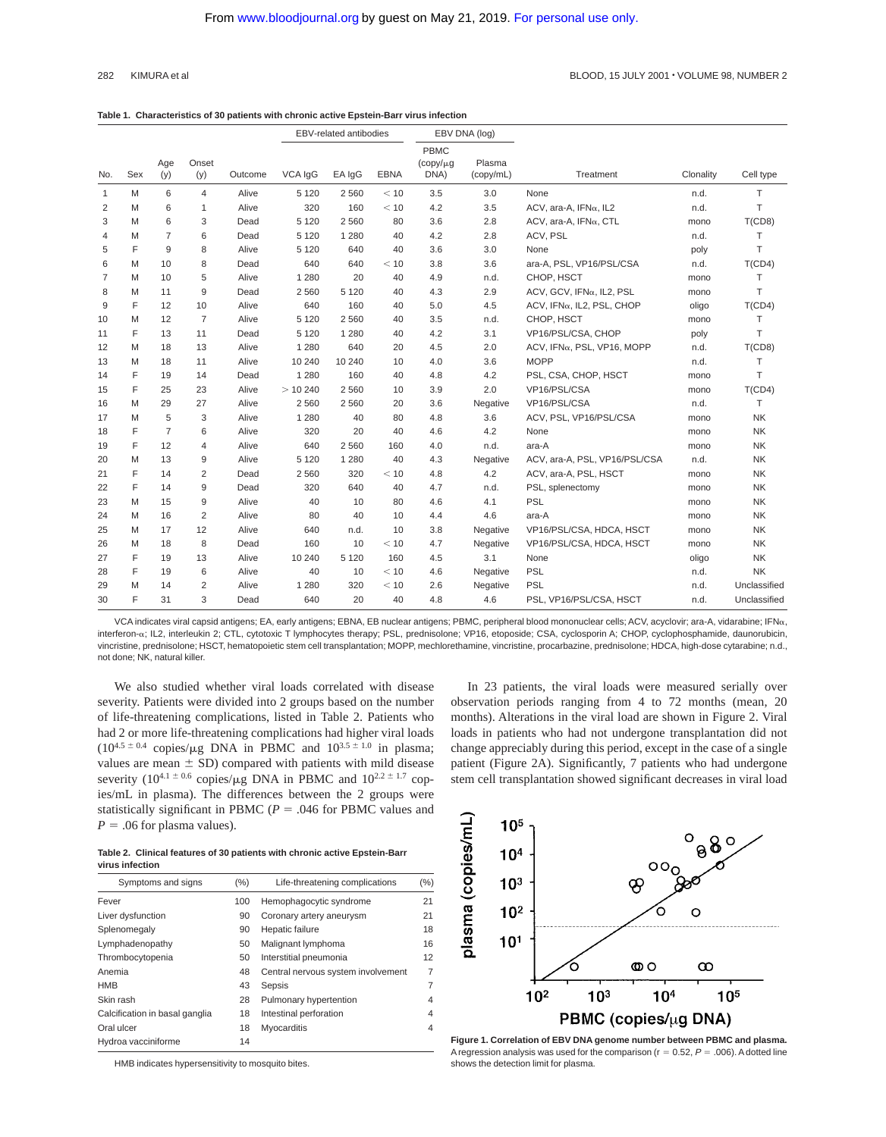#### **Table 1. Characteristics of 30 patients with chronic active Epstein-Barr virus infection**

|              |     |                 |                |         |         | EBV-related antibodies |             | EBV DNA (log)                         |                     |                                       |           |              |
|--------------|-----|-----------------|----------------|---------|---------|------------------------|-------------|---------------------------------------|---------------------|---------------------------------------|-----------|--------------|
| No.          | Sex | Age<br>(y)      | Onset<br>(y)   | Outcome | VCA IgG | EA IqG                 | <b>EBNA</b> | <b>PBMC</b><br>$(copy/\mu g)$<br>DNA) | Plasma<br>(copy/mL) | Treatment                             | Clonality | Cell type    |
| $\mathbf{1}$ | M   | 6               | $\overline{4}$ | Alive   | 5 1 2 0 | 2 5 6 0                | < 10        | 3.5                                   | 3.0                 | None                                  | n.d.      | T.           |
| 2            | M   | 6               | $\mathbf{1}$   | Alive   | 320     | 160                    | < 10        | 4.2                                   | 3.5                 | ACV, ara-A, $IFN\alpha$ , IL2         | n.d.      | T            |
| 3            | M   | 6               | 3              | Dead    | 5 1 2 0 | 2 5 6 0                | 80          | 3.6                                   | 2.8                 | ACV, ara-A, IFNa, CTL                 | mono      | T(CD8)       |
| 4            | M   | $\overline{7}$  | 6              | Dead    | 5 1 2 0 | 1 2 8 0                | 40          | 4.2                                   | 2.8                 | ACV, PSL                              | n.d.      | $\top$       |
| 5            | F   | 9               | 8              | Alive   | 5 1 2 0 | 640                    | 40          | 3.6                                   | 3.0                 | None                                  | poly      | T            |
| 6            | M   | 10 <sup>1</sup> | 8              | Dead    | 640     | 640                    | < 10        | 3.8                                   | 3.6                 | ara-A, PSL, VP16/PSL/CSA              | n.d.      | T(CD4)       |
| 7            | M   | 10              | 5              | Alive   | 1 2 8 0 | 20                     | 40          | 4.9                                   | n.d.                | CHOP, HSCT                            | mono      | T            |
| 8            | M   | 11              | 9              | Dead    | 2 5 6 0 | 5 1 2 0                | 40          | 4.3                                   | 2.9                 | ACV, GCV, IFNa, IL2, PSL              | mono      | T            |
| 9            | F   | 12              | 10             | Alive   | 640     | 160                    | 40          | 5.0                                   | 4.5                 | ACV, IFNa, IL2, PSL, CHOP             | oligo     | T(CD4)       |
| 10           | M   | 12              | 7              | Alive   | 5 1 2 0 | 2560                   | 40          | 3.5                                   | n.d.                | CHOP, HSCT                            | mono      | т            |
| 11           | F   | 13              | 11             | Dead    | 5 1 2 0 | 1 2 8 0                | 40          | 4.2                                   | 3.1                 | VP16/PSL/CSA, CHOP                    | poly      | T            |
| 12           | M   | 18              | 13             | Alive   | 1 2 8 0 | 640                    | 20          | 4.5                                   | 2.0                 | ACV, IFNa, PSL, VP16, MOPP            | n.d.      | T(CD8)       |
| 13           | M   | 18              | 11             | Alive   | 10 240  | 10 240                 | 10          | 4.0                                   | 3.6                 | <b>MOPP</b>                           | n.d.      | T            |
| 14           | F   | 19              | 14             | Dead    | 1 2 8 0 | 160                    | 40          | 4.8                                   | 4.2                 | PSL, CSA, CHOP, HSCT                  | mono      | T            |
| 15           | F   | 25              | 23             | Alive   | > 10240 | 2560                   | 10          | 3.9                                   | 2.0                 | VP16/PSL/CSA                          | mono      | T(CD4)       |
| 16           | M   | 29              | 27             | Alive   | 2 5 6 0 | 2 5 6 0                | 20          | 3.6                                   | Negative            | VP16/PSL/CSA                          | n.d.      | T            |
| 17           | M   | 5               | 3              | Alive   | 1 2 8 0 | 40                     | 80          | 4.8                                   | 3.6                 | ACV, PSL, VP16/PSL/CSA                | mono      | <b>NK</b>    |
| 18           | F   | $\overline{7}$  | 6              | Alive   | 320     | 20                     | 40          | 4.6                                   | 4.2                 | None                                  | mono      | NK           |
| 19           | F   | 12              | 4              | Alive   | 640     | 2560                   | 160         | 4.0                                   | n.d.                | ara-A                                 | mono      | NK           |
| 20           | M   | 13              | 9              | Alive   | 5 1 2 0 | 1 2 8 0                | 40          | 4.3                                   | Negative            | ACV, ara-A, PSL, VP16/PSL/CSA<br>n.d. |           | NK           |
| 21           | F   | 14              | $\overline{2}$ | Dead    | 2 5 6 0 | 320                    | < 10        | 4.8                                   | 4.2                 | ACV, ara-A, PSL, HSCT                 | mono      | NK           |
| 22           | F   | 14              | 9              | Dead    | 320     | 640                    | 40          | 4.7                                   | n.d.                | PSL, splenectomy                      | mono      | NK           |
| 23           | M   | 15              | 9              | Alive   | 40      | 10                     | 80          | 4.6                                   | 4.1                 | PSL                                   | mono      | NK           |
| 24           | M   | 16              | $\overline{2}$ | Alive   | 80      | 40                     | 10          | 4.4                                   | 4.6                 | ara-A                                 | mono      | NK           |
| 25           | M   | 17              | 12             | Alive   | 640     | n.d.                   | 10          | 3.8                                   | Negative            | VP16/PSL/CSA, HDCA, HSCT              | mono      | NK           |
| 26           | M   | 18              | 8              | Dead    | 160     | 10                     | < 10        | 4.7                                   | Negative            | VP16/PSL/CSA, HDCA, HSCT              | mono      | <b>NK</b>    |
| 27           | F   | 19              | 13             | Alive   | 10 240  | 5 1 2 0                | 160         | 4.5                                   | 3.1                 | None                                  | oligo     | NK           |
| 28           | F   | 19              | 6              | Alive   | 40      | 10                     | < 10        | 4.6                                   | Negative            | PSL                                   | n.d.      | <b>NK</b>    |
| 29           | M   | 14              | $\overline{2}$ | Alive   | 1 2 8 0 | 320                    | < 10        | 2.6                                   | Negative            | <b>PSL</b>                            | n.d.      | Unclassified |
| 30           | F   | 31              | 3              | Dead    | 640     | 20                     | 40          | 4.8                                   | 4.6                 | PSL, VP16/PSL/CSA, HSCT               | n.d.      | Unclassified |

VCA indicates viral capsid antigens; EA, early antigens; EBNA, EB nuclear antigens; PBMC, peripheral blood mononuclear cells; ACV, acyclovir; ara-A, vidarabine; IFNa, interferon-α; IL2, interleukin 2; CTL, cytotoxic T lymphocytes therapy; PSL, prednisolone; VP16, etoposide; CSA, cyclosporin A; CHOP, cyclophosphamide, daunorubicin, vincristine, prednisolone; HSCT, hematopoietic stem cell transplantation; MOPP, mechlorethamine, vincristine, procarbazine, prednisolone; HDCA, high-dose cytarabine; n.d., not done; NK, natural killer.

We also studied whether viral loads correlated with disease severity. Patients were divided into 2 groups based on the number of life-threatening complications, listed in Table 2. Patients who had 2 or more life-threatening complications had higher viral loads  $(10^{4.5 \pm 0.4}$  copies/ $\mu$ g DNA in PBMC and  $10^{3.5 \pm 1.0}$  in plasma; values are mean  $\pm$  SD) compared with patients with mild disease severity (10<sup>4.1 ± 0.6</sup> copies/µg DNA in PBMC and  $10^{2.2 \pm 1.7}$  copies/mL in plasma). The differences between the 2 groups were statistically significant in PBMC ( $P = .046$  for PBMC values and  $P = .06$  for plasma values).

In 23 patients, the viral loads were measured serially over observation periods ranging from 4 to 72 months (mean, 20 months). Alterations in the viral load are shown in Figure 2. Viral loads in patients who had not undergone transplantation did not change appreciably during this period, except in the case of a single patient (Figure 2A). Significantly, 7 patients who had undergone stem cell transplantation showed significant decreases in viral load

**Table 2. Clinical features of 30 patients with chronic active Epstein-Barr virus infection**

| Symptoms and signs             | (%) | Life-threatening complications     | (%) |
|--------------------------------|-----|------------------------------------|-----|
| Fever                          | 100 | Hemophagocytic syndrome            | 21  |
| Liver dysfunction              | 90  | Coronary artery aneurysm           | 21  |
| Splenomegaly                   | 90  | Hepatic failure                    | 18  |
| Lymphadenopathy                | 50  | Malignant lymphoma                 | 16  |
| Thrombocytopenia               | 50  | Interstitial pneumonia             | 12  |
| Anemia                         | 48  | Central nervous system involvement | 7   |
| <b>HMB</b>                     | 43  | Sepsis                             | 7   |
| Skin rash                      | 28  | Pulmonary hypertention             | 4   |
| Calcification in basal ganglia | 18  | Intestinal perforation             | 4   |
| Oral ulcer                     | 18  | Myocarditis                        | 4   |
| Hydroa vacciniforme            | 14  |                                    |     |

HMB indicates hypersensitivity to mosquito bites.



**Figure 1. Correlation of EBV DNA genome number between PBMC and plasma.** A regression analysis was used for the comparison ( $r = 0.52$ ,  $P = .006$ ). A dotted line shows the detection limit for plasma.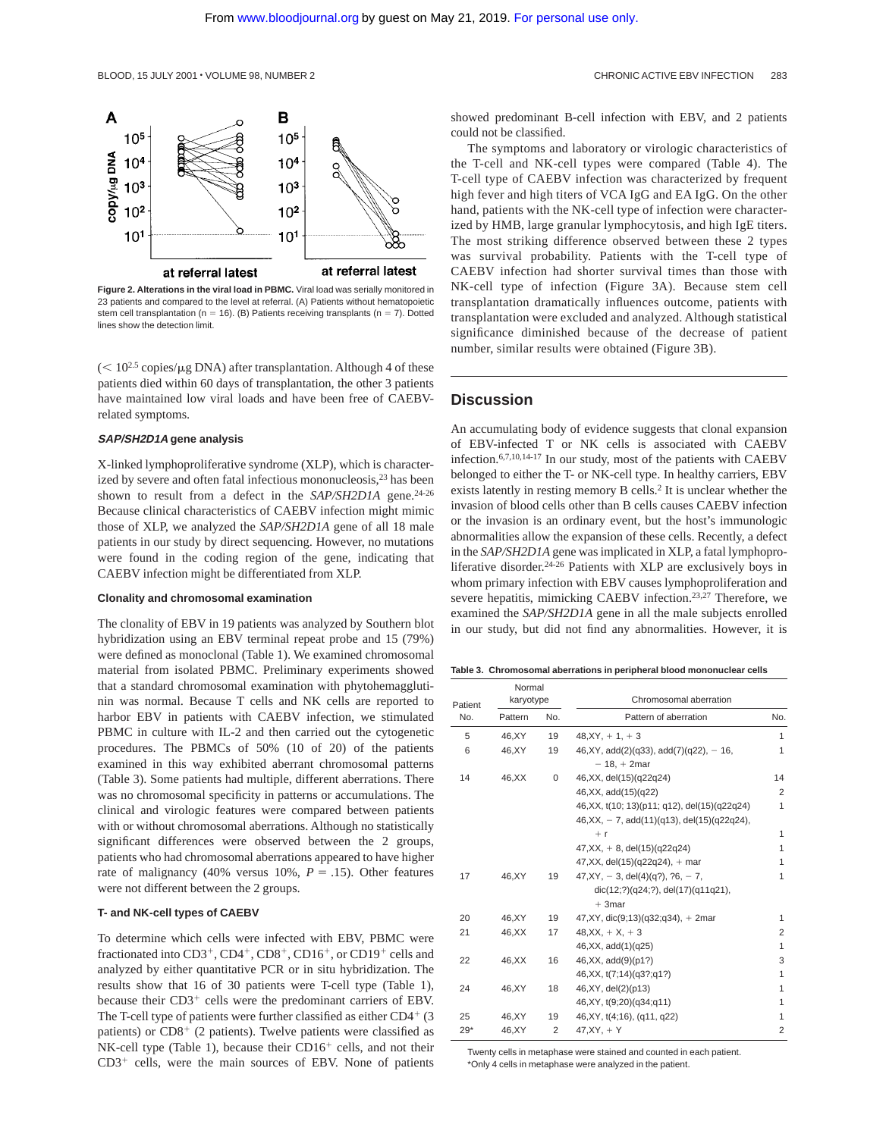

**Figure 2. Alterations in the viral load in PBMC.** Viral load was serially monitored in 23 patients and compared to the level at referral. (A) Patients without hematopoietic stem cell transplantation (n = 16). (B) Patients receiving transplants (n = 7). Dotted lines show the detection limit.

 $(< 10^{2.5}$  copies/ $\mu$ g DNA) after transplantation. Although 4 of these patients died within 60 days of transplantation, the other 3 patients have maintained low viral loads and have been free of CAEBVrelated symptoms.

#### **SAP/SH2D1A gene analysis**

X-linked lymphoproliferative syndrome (XLP), which is characterized by severe and often fatal infectious mononucleosis,<sup>23</sup> has been shown to result from a defect in the *SAP/SH2D1A* gene.<sup>24-26</sup> Because clinical characteristics of CAEBV infection might mimic those of XLP, we analyzed the *SAP/SH2D1A* gene of all 18 male patients in our study by direct sequencing. However, no mutations were found in the coding region of the gene, indicating that CAEBV infection might be differentiated from XLP.

## **Clonality and chromosomal examination**

The clonality of EBV in 19 patients was analyzed by Southern blot hybridization using an EBV terminal repeat probe and 15 (79%) were defined as monoclonal (Table 1). We examined chromosomal material from isolated PBMC. Preliminary experiments showed that a standard chromosomal examination with phytohemagglutinin was normal. Because T cells and NK cells are reported to harbor EBV in patients with CAEBV infection, we stimulated PBMC in culture with IL-2 and then carried out the cytogenetic procedures. The PBMCs of 50% (10 of 20) of the patients examined in this way exhibited aberrant chromosomal patterns (Table 3). Some patients had multiple, different aberrations. There was no chromosomal specificity in patterns or accumulations. The clinical and virologic features were compared between patients with or without chromosomal aberrations. Although no statistically significant differences were observed between the 2 groups, patients who had chromosomal aberrations appeared to have higher rate of malignancy (40% versus 10%,  $P = .15$ ). Other features were not different between the 2 groups.

## **T- and NK-cell types of CAEBV**

To determine which cells were infected with EBV, PBMC were fractionated into  $CD3^+$ ,  $CD4^+$ ,  $CD8^+$ ,  $CD16^+$ , or  $CD19^+$  cells and analyzed by either quantitative PCR or in situ hybridization. The results show that 16 of 30 patients were T-cell type (Table 1), because their  $CD3<sup>+</sup>$  cells were the predominant carriers of EBV. The T-cell type of patients were further classified as either  $CD4+$  (3) patients) or  $CD8<sup>+</sup>$  (2 patients). Twelve patients were classified as  $NK-cell$  type (Table 1), because their  $CD16<sup>+</sup>$  cells, and not their  $CD3<sup>+</sup>$  cells, were the main sources of EBV. None of patients

showed predominant B-cell infection with EBV, and 2 patients could not be classified.

The symptoms and laboratory or virologic characteristics of the T-cell and NK-cell types were compared (Table 4). The T-cell type of CAEBV infection was characterized by frequent high fever and high titers of VCA IgG and EA IgG. On the other hand, patients with the NK-cell type of infection were characterized by HMB, large granular lymphocytosis, and high IgE titers. The most striking difference observed between these 2 types was survival probability. Patients with the T-cell type of CAEBV infection had shorter survival times than those with NK-cell type of infection (Figure 3A). Because stem cell transplantation dramatically influences outcome, patients with transplantation were excluded and analyzed. Although statistical significance diminished because of the decrease of patient number, similar results were obtained (Figure 3B).

## **Discussion**

An accumulating body of evidence suggests that clonal expansion of EBV-infected T or NK cells is associated with CAEBV infection.6,7,10,14-17 In our study, most of the patients with CAEBV belonged to either the T- or NK-cell type. In healthy carriers, EBV exists latently in resting memory B cells.2 It is unclear whether the invasion of blood cells other than B cells causes CAEBV infection or the invasion is an ordinary event, but the host's immunologic abnormalities allow the expansion of these cells. Recently, a defect in the *SAP/SH2D1A* gene was implicated in XLP, a fatal lymphoproliferative disorder.24-26 Patients with XLP are exclusively boys in whom primary infection with EBV causes lymphoproliferation and severe hepatitis, mimicking CAEBV infection.<sup>23,27</sup> Therefore, we examined the *SAP/SH2D1A* gene in all the male subjects enrolled in our study, but did not find any abnormalities. However, it is

**Table 3. Chromosomal aberrations in peripheral blood mononuclear cells**

| Patient | Normal<br>karyotype |     | Chromosomal aberration                                    |                |  |  |
|---------|---------------------|-----|-----------------------------------------------------------|----------------|--|--|
| No.     | Pattern             | No. | Pattern of aberration                                     |                |  |  |
| 5       | 46.XY               | 19  | $48.XY + 1 + 3$                                           | $\mathbf{1}$   |  |  |
| 6       | 46.XY               | 19  | $46, XY, add(2)(q33), add(7)(q22), -16,$<br>$-18. + 2mar$ | 1              |  |  |
| 14      | 46, XX              | 0   | 46, XX, del(15)(q22q24)                                   | 14             |  |  |
|         |                     |     | 46, XX, add(15)(q22)                                      | $\overline{2}$ |  |  |
|         |                     |     | 46, XX, t(10; 13)(p11; q12), del(15)(q22q24)              | 1              |  |  |
|         |                     |     | $46, XX, -7, add(11)(q13), del(15)(q22q24),$              |                |  |  |
|         |                     |     | $+$ r                                                     | 1              |  |  |
|         |                     |     | $47,XX, +8, del(15)(q22q24)$                              | 1              |  |  |
|         |                     |     | 47, XX, del(15)(q22q24), + mar                            | 1              |  |  |
| 17      | 46, XY              | 19  | $47, XY, -3, del(4)(q?)$ , ?6, -7,                        | 1              |  |  |
|         |                     |     | dic(12;?)(q24;?), del(17)(q11q21),<br>$+3mar$             |                |  |  |
| 20      | 46.XY               | 19  | $47, XY, dic(9,13)(q32, q34), + 2mar$                     | 1              |  |  |
| 21      | 46, XX              | 17  | $48, XX, + X, + 3$                                        | 2              |  |  |
|         |                     |     | 46, XX, add(1)(q25)                                       | 1              |  |  |
| 22      | 46, XX              | 16  | 46, XX, add(9)(p1?)                                       | 3              |  |  |
|         |                     |     | 46, XX, t(7; 14) (q3?; q1?)                               | 1              |  |  |
| 24      | 46.XY               | 18  | 46, XY, del(2)(p13)                                       | 1              |  |  |
|         |                     |     | 46, XY, t(9; 20) (q34; q11)                               | 1              |  |  |
| 25      | 46, XY              | 19  | 46, XY, t(4; 16), (q11, q22)                              | 1              |  |  |
| $29*$   | 46, XY              | 2   | $47.XY + Y$                                               | $\overline{2}$ |  |  |

Twenty cells in metaphase were stained and counted in each patient. \*Only 4 cells in metaphase were analyzed in the patient.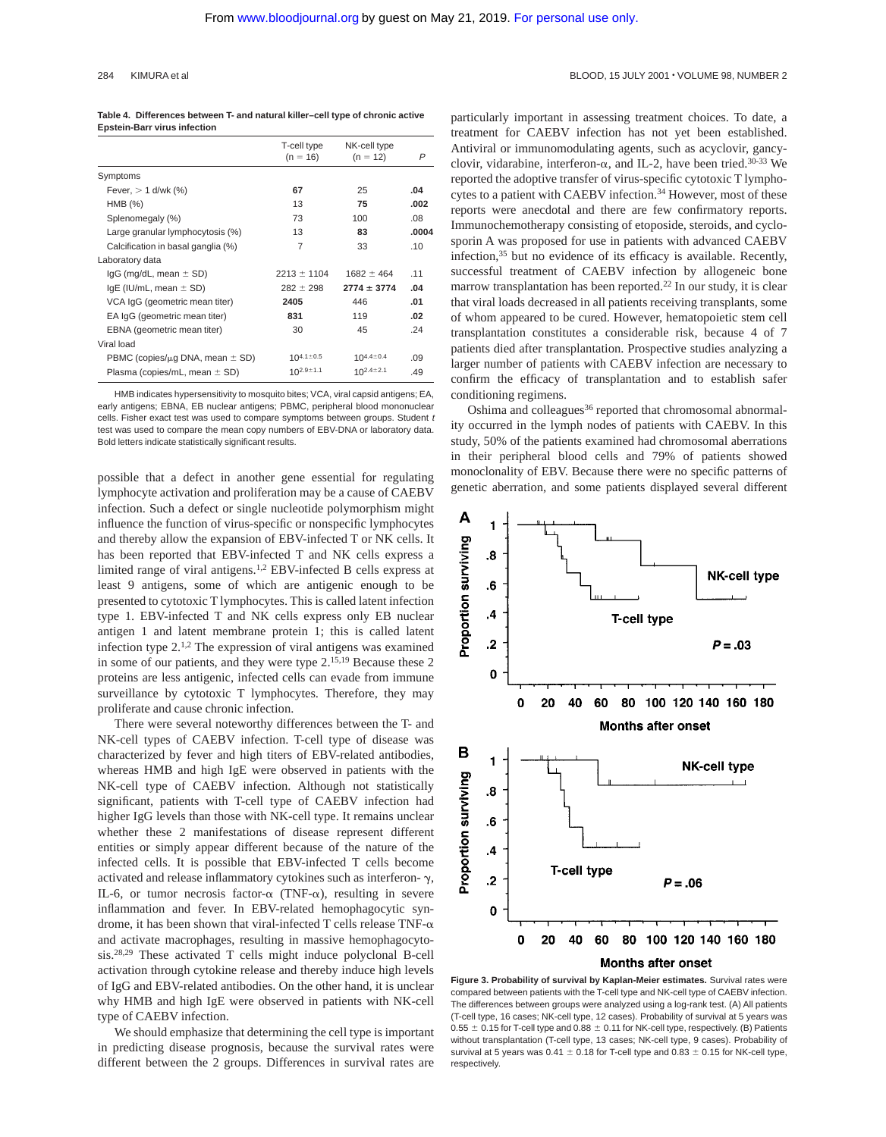| Table 4. Differences between T- and natural killer-cell type of chronic active |
|--------------------------------------------------------------------------------|
| <b>Epstein-Barr virus infection</b>                                            |

|                                           | T-cell type<br>$(n = 16)$ | NK-cell type<br>$(n = 12)$ | P     |
|-------------------------------------------|---------------------------|----------------------------|-------|
| Symptoms                                  |                           |                            |       |
| Fever, $> 1$ d/wk (%)                     | 67                        | 25                         | .04   |
| $HMB$ $%$                                 | 13                        | 75                         | .002  |
| Splenomegaly (%)                          | 73                        | 100                        | .08   |
| Large granular lymphocytosis (%)          | 13                        | 83                         | .0004 |
| Calcification in basal ganglia (%)        | 7                         | 33                         | .10   |
| Laboratory data                           |                           |                            |       |
| $lgG$ (mg/dL, mean $\pm$ SD)              | $2213 \pm 1104$           | $1682 \pm 464$             | .11   |
| $IqE$ (IU/mL, mean $\pm$ SD)              | $282 \pm 298$             | $2774 \pm 3774$            | .04   |
| VCA IgG (geometric mean titer)            | 2405                      | 446                        | .01   |
| EA IgG (geometric mean titer)             | 831                       | 119                        | .02   |
| EBNA (geometric mean titer)               | 30                        | 45                         | .24   |
| Viral load                                |                           |                            |       |
| PBMC (copies/ $\mu$ g DNA, mean $\pm$ SD) | 104.1 $\pm$ 0.5           | $10^{4.4 \pm 0.4}$         | .09   |
| Plasma (copies/mL, mean $\pm$ SD)         | $10^{2.9 \pm 1.1}$        | $10^{2.4 \pm 2.1}$         | .49   |

HMB indicates hypersensitivity to mosquito bites; VCA, viral capsid antigens; EA, early antigens; EBNA, EB nuclear antigens; PBMC, peripheral blood mononuclear cells. Fisher exact test was used to compare symptoms between groups. Student t test was used to compare the mean copy numbers of EBV-DNA or laboratory data. Bold letters indicate statistically significant results.

possible that a defect in another gene essential for regulating lymphocyte activation and proliferation may be a cause of CAEBV infection. Such a defect or single nucleotide polymorphism might influence the function of virus-specific or nonspecific lymphocytes and thereby allow the expansion of EBV-infected T or NK cells. It has been reported that EBV-infected T and NK cells express a limited range of viral antigens.1,2 EBV-infected B cells express at least 9 antigens, some of which are antigenic enough to be presented to cytotoxic T lymphocytes. This is called latent infection type 1. EBV-infected T and NK cells express only EB nuclear antigen 1 and latent membrane protein 1; this is called latent infection type  $2^{1,2}$ . The expression of viral antigens was examined in some of our patients, and they were type 2.15,19 Because these 2 proteins are less antigenic, infected cells can evade from immune surveillance by cytotoxic T lymphocytes. Therefore, they may proliferate and cause chronic infection.

There were several noteworthy differences between the T- and NK-cell types of CAEBV infection. T-cell type of disease was characterized by fever and high titers of EBV-related antibodies, whereas HMB and high IgE were observed in patients with the NK-cell type of CAEBV infection. Although not statistically significant, patients with T-cell type of CAEBV infection had higher IgG levels than those with NK-cell type. It remains unclear whether these 2 manifestations of disease represent different entities or simply appear different because of the nature of the infected cells. It is possible that EBV-infected T cells become activated and release inflammatory cytokines such as interferon- $\gamma$ , IL-6, or tumor necrosis factor- $\alpha$  (TNF- $\alpha$ ), resulting in severe inflammation and fever. In EBV-related hemophagocytic syndrome, it has been shown that viral-infected T cells release TNF- $\alpha$ and activate macrophages, resulting in massive hemophagocytosis.28,29 These activated T cells might induce polyclonal B-cell activation through cytokine release and thereby induce high levels of IgG and EBV-related antibodies. On the other hand, it is unclear why HMB and high IgE were observed in patients with NK-cell type of CAEBV infection.

We should emphasize that determining the cell type is important in predicting disease prognosis, because the survival rates were different between the 2 groups. Differences in survival rates are

particularly important in assessing treatment choices. To date, a treatment for CAEBV infection has not yet been established. Antiviral or immunomodulating agents, such as acyclovir, gancyclovir, vidarabine, interferon- $\alpha$ , and IL-2, have been tried.<sup>30-33</sup> We reported the adoptive transfer of virus-specific cytotoxic T lymphocytes to a patient with CAEBV infection.34 However, most of these reports were anecdotal and there are few confirmatory reports. Immunochemotherapy consisting of etoposide, steroids, and cyclosporin A was proposed for use in patients with advanced CAEBV infection,35 but no evidence of its efficacy is available. Recently, successful treatment of CAEBV infection by allogeneic bone marrow transplantation has been reported.22 In our study, it is clear that viral loads decreased in all patients receiving transplants, some of whom appeared to be cured. However, hematopoietic stem cell transplantation constitutes a considerable risk, because 4 of 7 patients died after transplantation. Prospective studies analyzing a larger number of patients with CAEBV infection are necessary to confirm the efficacy of transplantation and to establish safer conditioning regimens.

Oshima and colleagues<sup>36</sup> reported that chromosomal abnormality occurred in the lymph nodes of patients with CAEBV. In this study, 50% of the patients examined had chromosomal aberrations in their peripheral blood cells and 79% of patients showed monoclonality of EBV. Because there were no specific patterns of genetic aberration, and some patients displayed several different



**Figure 3. Probability of survival by Kaplan-Meier estimates.** Survival rates were compared between patients with the T-cell type and NK-cell type of CAEBV infection. The differences between groups were analyzed using a log-rank test. (A) All patients (T-cell type, 16 cases; NK-cell type, 12 cases). Probability of survival at 5 years was  $0.55 \pm 0.15$  for T-cell type and  $0.88 \pm 0.11$  for NK-cell type, respectively. (B) Patients without transplantation (T-cell type, 13 cases; NK-cell type, 9 cases). Probability of survival at 5 years was 0.41  $\pm$  0.18 for T-cell type and 0.83  $\pm$  0.15 for NK-cell type, respectively.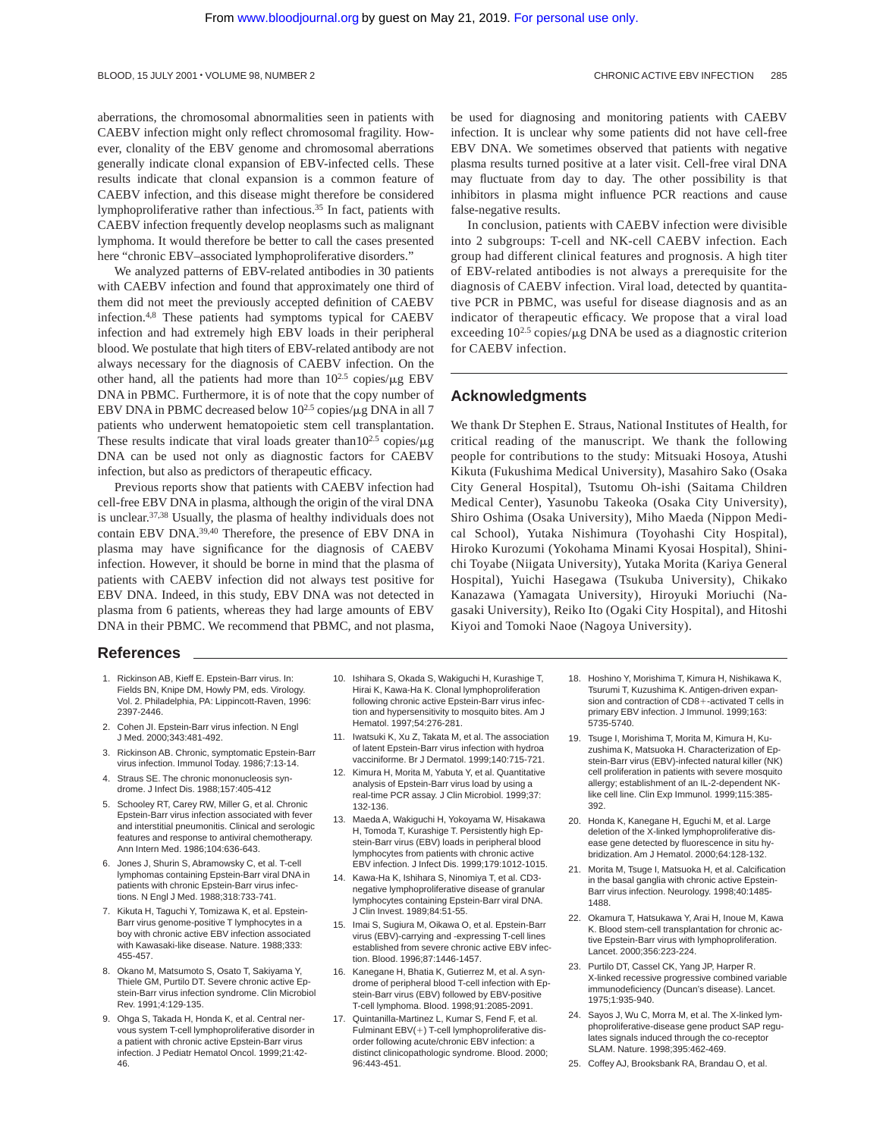aberrations, the chromosomal abnormalities seen in patients with CAEBV infection might only reflect chromosomal fragility. However, clonality of the EBV genome and chromosomal aberrations generally indicate clonal expansion of EBV-infected cells. These results indicate that clonal expansion is a common feature of CAEBV infection, and this disease might therefore be considered lymphoproliferative rather than infectious.35 In fact, patients with CAEBV infection frequently develop neoplasms such as malignant lymphoma. It would therefore be better to call the cases presented here "chronic EBV–associated lymphoproliferative disorders."

We analyzed patterns of EBV-related antibodies in 30 patients with CAEBV infection and found that approximately one third of them did not meet the previously accepted definition of CAEBV infection.4,8 These patients had symptoms typical for CAEBV infection and had extremely high EBV loads in their peripheral blood. We postulate that high titers of EBV-related antibody are not always necessary for the diagnosis of CAEBV infection. On the other hand, all the patients had more than  $10^{2.5}$  copies/ $\mu$ g EBV DNA in PBMC. Furthermore, it is of note that the copy number of EBV DNA in PBMC decreased below  $10^{2.5}$  copies/ $\mu$ g DNA in all 7 patients who underwent hematopoietic stem cell transplantation. These results indicate that viral loads greater than  $10^{2.5}$  copies/ $\mu$ g DNA can be used not only as diagnostic factors for CAEBV infection, but also as predictors of therapeutic efficacy.

Previous reports show that patients with CAEBV infection had cell-free EBV DNA in plasma, although the origin of the viral DNA is unclear.37,38 Usually, the plasma of healthy individuals does not contain EBV DNA.39,40 Therefore, the presence of EBV DNA in plasma may have significance for the diagnosis of CAEBV infection. However, it should be borne in mind that the plasma of patients with CAEBV infection did not always test positive for EBV DNA. Indeed, in this study, EBV DNA was not detected in plasma from 6 patients, whereas they had large amounts of EBV DNA in their PBMC. We recommend that PBMC, and not plasma, be used for diagnosing and monitoring patients with CAEBV infection. It is unclear why some patients did not have cell-free EBV DNA. We sometimes observed that patients with negative plasma results turned positive at a later visit. Cell-free viral DNA may fluctuate from day to day. The other possibility is that inhibitors in plasma might influence PCR reactions and cause false-negative results.

In conclusion, patients with CAEBV infection were divisible into 2 subgroups: T-cell and NK-cell CAEBV infection. Each group had different clinical features and prognosis. A high titer of EBV-related antibodies is not always a prerequisite for the diagnosis of CAEBV infection. Viral load, detected by quantitative PCR in PBMC, was useful for disease diagnosis and as an indicator of therapeutic efficacy. We propose that a viral load exceeding  $10^{2.5}$  copies/ $\mu$ g DNA be used as a diagnostic criterion for CAEBV infection.

## **Acknowledgments**

We thank Dr Stephen E. Straus, National Institutes of Health, for critical reading of the manuscript. We thank the following people for contributions to the study: Mitsuaki Hosoya, Atushi Kikuta (Fukushima Medical University), Masahiro Sako (Osaka City General Hospital), Tsutomu Oh-ishi (Saitama Children Medical Center), Yasunobu Takeoka (Osaka City University), Shiro Oshima (Osaka University), Miho Maeda (Nippon Medical School), Yutaka Nishimura (Toyohashi City Hospital), Hiroko Kurozumi (Yokohama Minami Kyosai Hospital), Shinichi Toyabe (Niigata University), Yutaka Morita (Kariya General Hospital), Yuichi Hasegawa (Tsukuba University), Chikako Kanazawa (Yamagata University), Hiroyuki Moriuchi (Nagasaki University), Reiko Ito (Ogaki City Hospital), and Hitoshi Kiyoi and Tomoki Naoe (Nagoya University).

## **References**

- 1. Rickinson AB, Kieff E. Epstein-Barr virus. In: Fields BN, Knipe DM, Howly PM, eds. Virology. Vol. 2. Philadelphia, PA: Lippincott-Raven, 1996: 2397-2446.
- 2. Cohen JI. Epstein-Barr virus infection. N Engl J Med. 2000;343:481-492.
- 3. Rickinson AB. Chronic, symptomatic Epstein-Barr virus infection. Immunol Today. 1986;7:13-14.
- 4. Straus SE. The chronic mononucleosis syndrome. J Infect Dis. 1988;157:405-412
- 5. Schooley RT, Carey RW, Miller G, et al. Chronic Epstein-Barr virus infection associated with fever and interstitial pneumonitis. Clinical and serologic features and response to antiviral chemotherapy. Ann Intern Med. 1986;104:636-643.
- 6. Jones J, Shurin S, Abramowsky C, et al. T-cell lymphomas containing Epstein-Barr viral DNA in patients with chronic Epstein-Barr virus infections. N Engl J Med. 1988;318:733-741.
- 7. Kikuta H, Taguchi Y, Tomizawa K, et al. Epstein-Barr virus genome-positive T lymphocytes in a boy with chronic active EBV infection associated with Kawasaki-like disease. Nature. 1988;333: 455-457.
- 8. Okano M, Matsumoto S, Osato T, Sakiyama Y, Thiele GM, Purtilo DT. Severe chronic active Epstein-Barr virus infection syndrome. Clin Microbiol Rev. 1991;4:129-135.
- 9. Ohga S, Takada H, Honda K, et al. Central nervous system T-cell lymphoproliferative disorder in a patient with chronic active Epstein-Barr virus infection. J Pediatr Hematol Oncol. 1999;21:42- 46.
- 10. Ishihara S, Okada S, Wakiguchi H, Kurashige T, Hirai K, Kawa-Ha K. Clonal lymphoproliferation following chronic active Epstein-Barr virus infection and hypersensitivity to mosquito bites. Am J Hematol. 1997;54:276-281.
- 11. Iwatsuki K, Xu Z, Takata M, et al. The association of latent Epstein-Barr virus infection with hydroa vacciniforme. Br J Dermatol. 1999;140:715-721.
- 12. Kimura H, Morita M, Yabuta Y, et al. Quantitative analysis of Epstein-Barr virus load by using a real-time PCR assay. J Clin Microbiol. 1999;37: 132-136.
- 13. Maeda A, Wakiguchi H, Yokoyama W, Hisakawa H, Tomoda T, Kurashige T. Persistently high Epstein-Barr virus (EBV) loads in peripheral blood lymphocytes from patients with chronic active EBV infection. J Infect Dis. 1999;179:1012-1015.
- 14. Kawa-Ha K, Ishihara S, Ninomiya T, et al. CD3 negative lymphoproliferative disease of granular lymphocytes containing Epstein-Barr viral DNA. J Clin Invest. 1989;84:51-55.
- 15. Imai S, Sugiura M, Oikawa O, et al. Epstein-Barr virus (EBV)-carrying and -expressing T-cell lines established from severe chronic active EBV infection. Blood. 1996;87:1446-1457.
- 16. Kanegane H, Bhatia K, Gutierrez M, et al. A syndrome of peripheral blood T-cell infection with Epstein-Barr virus (EBV) followed by EBV-positive T-cell lymphoma. Blood. 1998;91:2085-2091.
- 17. Quintanilla-Martinez L, Kumar S, Fend F, et al. Fulminant  $EBV(+)$  T-cell lymphoproliferative disorder following acute/chronic EBV infection: a distinct clinicopathologic syndrome. Blood. 2000; 96:443-451.
- 18. Hoshino Y, Morishima T, Kimura H, Nishikawa K, Tsurumi T, Kuzushima K. Antigen-driven expansion and contraction of CD8+-activated T cells in primary EBV infection. J Immunol. 1999;163: 5735-5740.
- 19. Tsuge I, Morishima T, Morita M, Kimura H, Kuzushima K, Matsuoka H. Characterization of Epstein-Barr virus (EBV)-infected natural killer (NK) cell proliferation in patients with severe mosquito allergy; establishment of an IL-2-dependent NKlike cell line. Clin Exp Immunol. 1999;115:385- 392.
- 20. Honda K, Kanegane H, Eguchi M, et al. Large deletion of the X-linked lymphoproliferative disease gene detected by fluorescence in situ hybridization. Am J Hematol. 2000;64:128-132.
- 21. Morita M, Tsuge I, Matsuoka H, et al. Calcification in the basal ganglia with chronic active Epstein-Barr virus infection. Neurology. 1998;40:1485- 1488.
- 22. Okamura T, Hatsukawa Y, Arai H, Inoue M, Kawa K. Blood stem-cell transplantation for chronic active Epstein-Barr virus with lymphoproliferation. Lancet. 2000;356:223-224.
- 23. Purtilo DT, Cassel CK, Yang JP, Harper R. X-linked recessive progressive combined variable immunodeficiency (Duncan's disease). Lancet. 1975;1:935-940.
- 24. Sayos J, Wu C, Morra M, et al. The X-linked lymphoproliferative-disease gene product SAP regulates signals induced through the co-receptor SLAM. Nature. 1998;395:462-469.
- 25. Coffey AJ, Brooksbank RA, Brandau O, et al.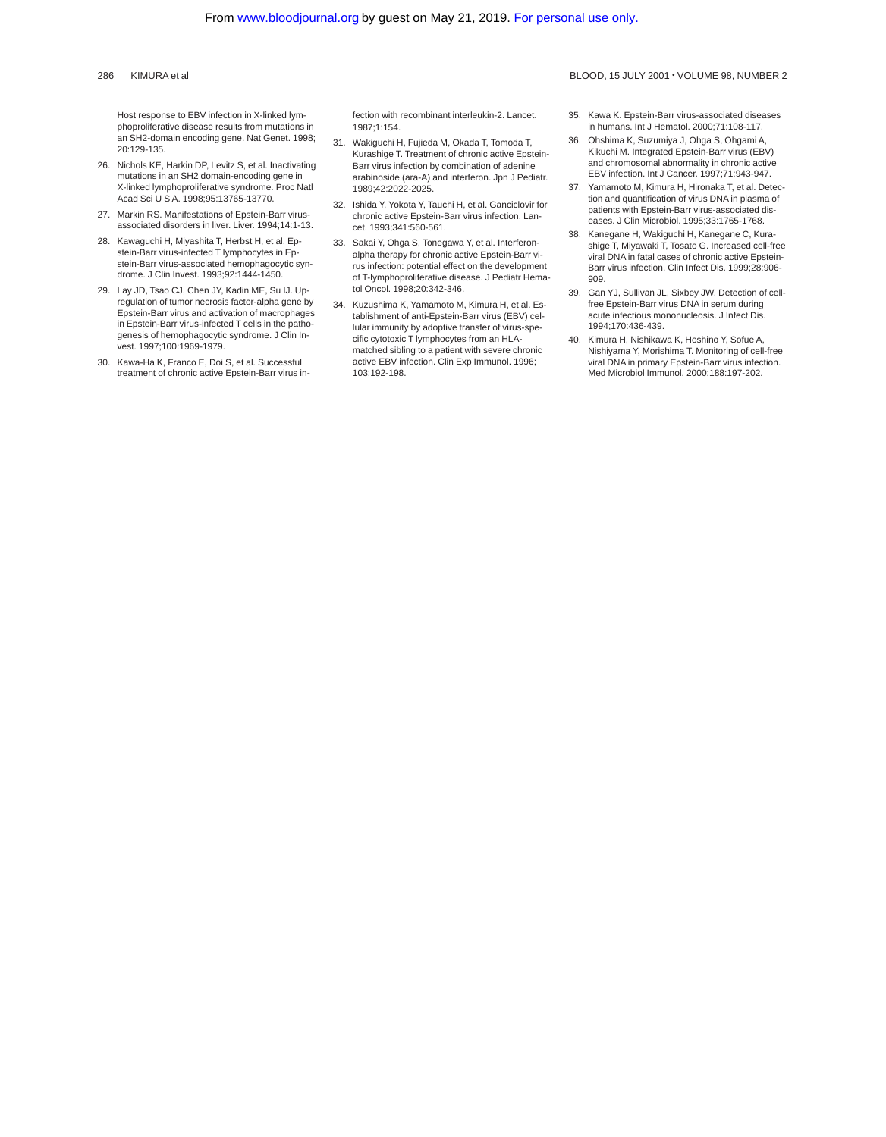Host response to EBV infection in X-linked lymphoproliferative disease results from mutations in an SH2-domain encoding gene. Nat Genet. 1998; 20:129-135.

- 26. Nichols KE, Harkin DP, Levitz S, et al. Inactivating mutations in an SH2 domain-encoding gene in X-linked lymphoproliferative syndrome. Proc Natl Acad Sci U S A. 1998;95:13765-13770.
- 27. Markin RS. Manifestations of Epstein-Barr virusassociated disorders in liver. Liver. 1994;14:1-13.
- 28. Kawaguchi H, Miyashita T, Herbst H, et al. Epstein-Barr virus-infected T lymphocytes in Epstein-Barr virus-associated hemophagocytic syndrome. J Clin Invest. 1993;92:1444-1450.
- 29. Lay JD, Tsao CJ, Chen JY, Kadin ME, Su IJ. Upregulation of tumor necrosis factor-alpha gene by Epstein-Barr virus and activation of macrophages in Epstein-Barr virus-infected T cells in the pathogenesis of hemophagocytic syndrome. J Clin Invest. 1997;100:1969-1979.
- 30. Kawa-Ha K, Franco E, Doi S, et al. Successful treatment of chronic active Epstein-Barr virus in-

fection with recombinant interleukin-2. Lancet. 1987;1:154.

- 31. Wakiguchi H, Fujieda M, Okada T, Tomoda T, Kurashige T. Treatment of chronic active Epstein-Barr virus infection by combination of adenine arabinoside (ara-A) and interferon. Jpn J Pediatr. 1989;42:2022-2025.
- 32. Ishida Y, Yokota Y, Tauchi H, et al. Ganciclovir for chronic active Epstein-Barr virus infection. Lancet. 1993;341:560-561.
- 33. Sakai Y, Ohga S, Tonegawa Y, et al. Interferonalpha therapy for chronic active Epstein-Barr virus infection: potential effect on the development of T-lymphoproliferative disease. J Pediatr Hematol Oncol. 1998;20:342-346.
- 34. Kuzushima K, Yamamoto M, Kimura H, et al. Establishment of anti-Epstein-Barr virus (EBV) cellular immunity by adoptive transfer of virus-specific cytotoxic T lymphocytes from an HLAmatched sibling to a patient with severe chronic active EBV infection. Clin Exp Immunol. 1996; 103:192-198.
- 35. Kawa K. Epstein-Barr virus-associated diseases in humans. Int J Hematol. 2000;71:108-117.
- 36. Ohshima K, Suzumiya J, Ohga S, Ohgami A, Kikuchi M. Integrated Epstein-Barr virus (EBV) and chromosomal abnormality in chronic active EBV infection. Int J Cancer. 1997;71:943-947.
- 37. Yamamoto M, Kimura H, Hironaka T, et al. Detection and quantification of virus DNA in plasma of patients with Epstein-Barr virus-associated diseases. J Clin Microbiol. 1995;33:1765-1768.
- 38. Kanegane H, Wakiguchi H, Kanegane C, Kurashige T, Miyawaki T, Tosato G. Increased cell-free viral DNA in fatal cases of chronic active Epstein-Barr virus infection. Clin Infect Dis. 1999;28:906- 909.
- 39. Gan YJ, Sullivan JL, Sixbey JW. Detection of cellfree Epstein-Barr virus DNA in serum during acute infectious mononucleosis. J Infect Dis. 1994;170:436-439.
- 40. Kimura H, Nishikawa K, Hoshino Y, Sofue A, Nishiyama Y, Morishima T. Monitoring of cell-free viral DNA in primary Epstein-Barr virus infection. Med Microbiol Immunol. 2000;188:197-202.